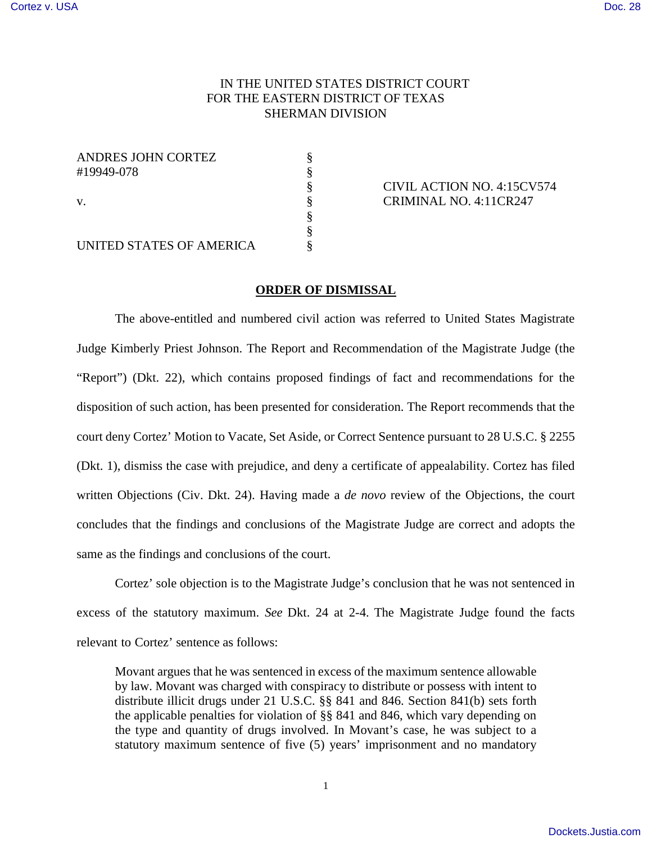## IN THE UNITED STATES DISTRICT COURT FOR THE EASTERN DISTRICT OF TEXAS SHERMAN DIVISION

| ANDRES JOHN CORTEZ       |  |
|--------------------------|--|
| #19949-078               |  |
|                          |  |
| V.                       |  |
|                          |  |
|                          |  |
| UNITED STATES OF AMERICA |  |

§ CIVIL ACTION NO. 4:15CV574 CRIMINAL NO. 4:11CR247

## **ORDER OF DISMISSAL**

The above-entitled and numbered civil action was referred to United States Magistrate Judge Kimberly Priest Johnson. The Report and Recommendation of the Magistrate Judge (the "Report") (Dkt. 22), which contains proposed findings of fact and recommendations for the disposition of such action, has been presented for consideration. The Report recommends that the court deny Cortez' Motion to Vacate, Set Aside, or Correct Sentence pursuant to 28 U.S.C. § 2255 (Dkt. 1), dismiss the case with prejudice, and deny a certificate of appealability. Cortez has filed written Objections (Civ. Dkt. 24). Having made a *de novo* review of the Objections, the court concludes that the findings and conclusions of the Magistrate Judge are correct and adopts the same as the findings and conclusions of the court.

Cortez' sole objection is to the Magistrate Judge's conclusion that he was not sentenced in excess of the statutory maximum. *See* Dkt. 24 at 2-4. The Magistrate Judge found the facts relevant to Cortez' sentence as follows:

Movant argues that he was sentenced in excess of the maximum sentence allowable by law. Movant was charged with conspiracy to distribute or possess with intent to distribute illicit drugs under 21 U.S.C. §§ 841 and 846. Section 841(b) sets forth the applicable penalties for violation of §§ 841 and 846, which vary depending on the type and quantity of drugs involved. In Movant's case, he was subject to a statutory maximum sentence of five (5) years' imprisonment and no mandatory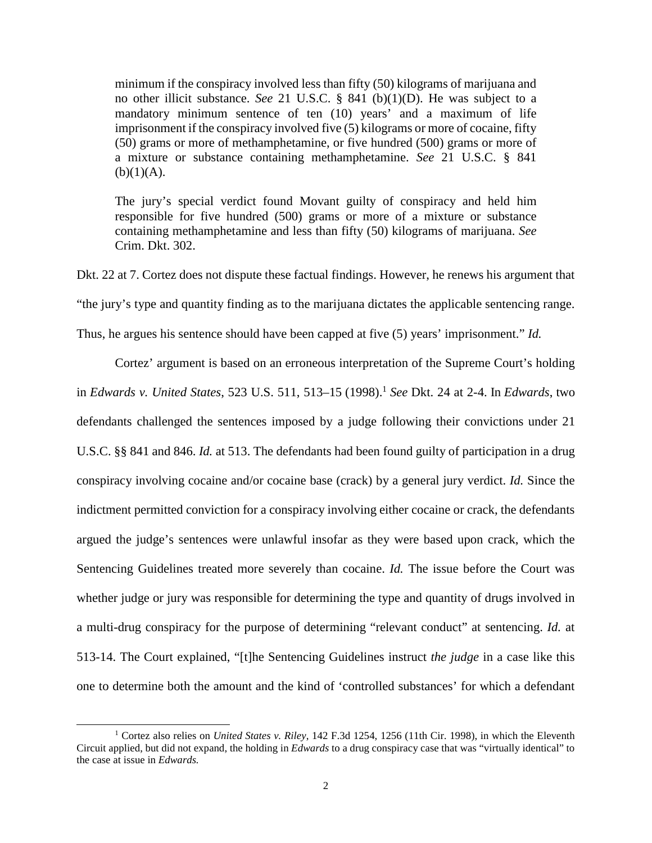minimum if the conspiracy involved less than fifty (50) kilograms of marijuana and no other illicit substance. *See* 21 U.S.C. § 841 (b)(1)(D). He was subject to a mandatory minimum sentence of ten (10) years' and a maximum of life imprisonment if the conspiracy involved five (5) kilograms or more of cocaine, fifty (50) grams or more of methamphetamine, or five hundred (500) grams or more of a mixture or substance containing methamphetamine. *See* 21 U.S.C. § 841  $(b)(1)(A).$ 

The jury's special verdict found Movant guilty of conspiracy and held him responsible for five hundred (500) grams or more of a mixture or substance containing methamphetamine and less than fifty (50) kilograms of marijuana. *See*  Crim. Dkt. 302.

Dkt. 22 at 7. Cortez does not dispute these factual findings. However, he renews his argument that "the jury's type and quantity finding as to the marijuana dictates the applicable sentencing range. Thus, he argues his sentence should have been capped at five (5) years' imprisonment." *Id.* 

Cortez' argument is based on an erroneous interpretation of the Supreme Court's holding in *Edwards v. United States*, 523 U.S. 511, 513–15 (1998).[1](#page-1-0) *See* Dkt. 24 at 2-4. In *Edwards*, two defendants challenged the sentences imposed by a judge following their convictions under 21 U.S.C. §§ 841 and 846. *Id.* at 513. The defendants had been found guilty of participation in a drug conspiracy involving cocaine and/or cocaine base (crack) by a general jury verdict. *Id.* Since the indictment permitted conviction for a conspiracy involving either cocaine or crack, the defendants argued the judge's sentences were unlawful insofar as they were based upon crack, which the Sentencing Guidelines treated more severely than cocaine. *Id.* The issue before the Court was whether judge or jury was responsible for determining the type and quantity of drugs involved in a multi-drug conspiracy for the purpose of determining "relevant conduct" at sentencing. *Id.* at 513-14. The Court explained, "[t]he Sentencing Guidelines instruct *the judge* in a case like this one to determine both the amount and the kind of 'controlled substances' for which a defendant

<span id="page-1-0"></span><sup>1</sup> Cortez also relies on *United States v. Riley*, 142 F.3d 1254, 1256 (11th Cir. 1998), in which the Eleventh Circuit applied, but did not expand, the holding in *Edwards* to a drug conspiracy case that was "virtually identical" to the case at issue in *Edwards.*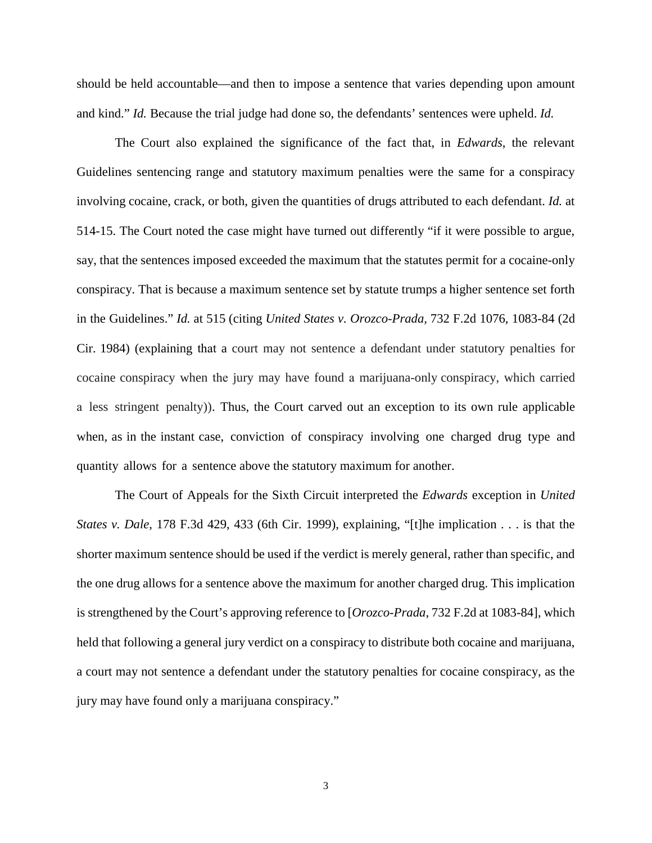should be held accountable—and then to impose a sentence that varies depending upon amount and kind." *Id.* Because the trial judge had done so, the defendants' sentences were upheld. *Id.* 

The Court also explained the significance of the fact that, in *Edwards*, the relevant Guidelines sentencing range and statutory maximum penalties were the same for a conspiracy involving cocaine, crack, or both, given the quantities of drugs attributed to each defendant. *Id.* at 514-15. The Court noted the case might have turned out differently "if it were possible to argue, say, that the sentences imposed exceeded the maximum that the statutes permit for a cocaine-only conspiracy. That is because a maximum sentence set by statute trumps a higher sentence set forth in the Guidelines." *Id.* at 515 (citing *United States v. Orozco-Prada,* 732 F.2d 1076, 1083-84 (2d Cir. 1984) (explaining that a court may not sentence a defendant under statutory penalties for cocaine conspiracy when the jury may have found a marijuana-only conspiracy, which carried a less stringent penalty)). Thus, the Court carved out an exception to its own rule applicable when, as in the instant case, conviction of conspiracy involving one charged drug type and quantity allows for a sentence above the statutory maximum for another.

The Court of Appeals for the Sixth Circuit interpreted the *Edwards* exception in *United States v. Dale*, 178 F.3d 429, 433 (6th Cir. 1999), explaining, "[t]he implication . . . is that the shorter maximum sentence should be used if the verdict is merely general, rather than specific, and the one drug allows for a sentence above the maximum for another charged drug. This implication is strengthened by the Court's approving reference to [*Orozco-Prada*, 732 F.2d at 1083-84], which held that following a general jury verdict on a conspiracy to distribute both cocaine and marijuana, a court may not sentence a defendant under the statutory penalties for cocaine conspiracy, as the jury may have found only a marijuana conspiracy."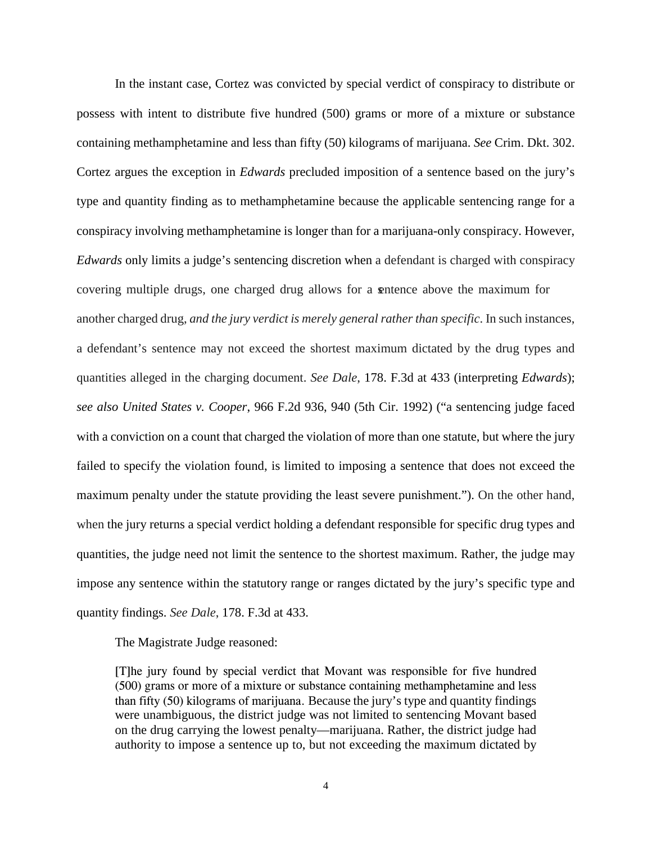In the instant case, Cortez was convicted by special verdict of conspiracy to distribute or possess with intent to distribute five hundred (500) grams or more of a mixture or substance containing methamphetamine and less than fifty (50) kilograms of marijuana. *See* Crim. Dkt. 302. Cortez argues the exception in *Edwards* precluded imposition of a sentence based on the jury's type and quantity finding as to methamphetamine because the applicable sentencing range for a conspiracy involving methamphetamine is longer than for a marijuana-only conspiracy. However, *Edwards* only limits a judge's sentencing discretion when a defendant is charged with conspiracy covering multiple drugs, one charged drug allows for a sentence above the maximum for another charged drug, *and the jury verdict is merely general rather than specific*. In such instances, a defendant's sentence may not exceed the shortest maximum dictated by the drug types and quantities alleged in the charging document. *See Dale*, 178. F.3d at 433 (interpreting *Edwards*); *see also United States v. Cooper*, 966 F.2d 936, 940 (5th Cir. 1992) ("a sentencing judge faced with a conviction on a count that charged the violation of more than one statute, but where the jury failed to specify the violation found, is limited to imposing a sentence that does not exceed the maximum penalty under the statute providing the least severe punishment."). On the other hand, when the jury returns a special verdict holding a defendant responsible for specific drug types and quantities, the judge need not limit the sentence to the shortest maximum. Rather, the judge may impose any sentence within the statutory range or ranges dictated by the jury's specific type and quantity findings. *See Dale*, 178. F.3d at 433.

The Magistrate Judge reasoned:

[T]he jury found by special verdict that Movant was responsible for five hundred (500) grams or more of a mixture or substance containing methamphetamine and less than fifty (50) kilograms of marijuana. Because the jury's type and quantity findings were unambiguous, the district judge was not limited to sentencing Movant based on the drug carrying the lowest penalty—marijuana. Rather, the district judge had authority to impose a sentence up to, but not exceeding the maximum dictated by